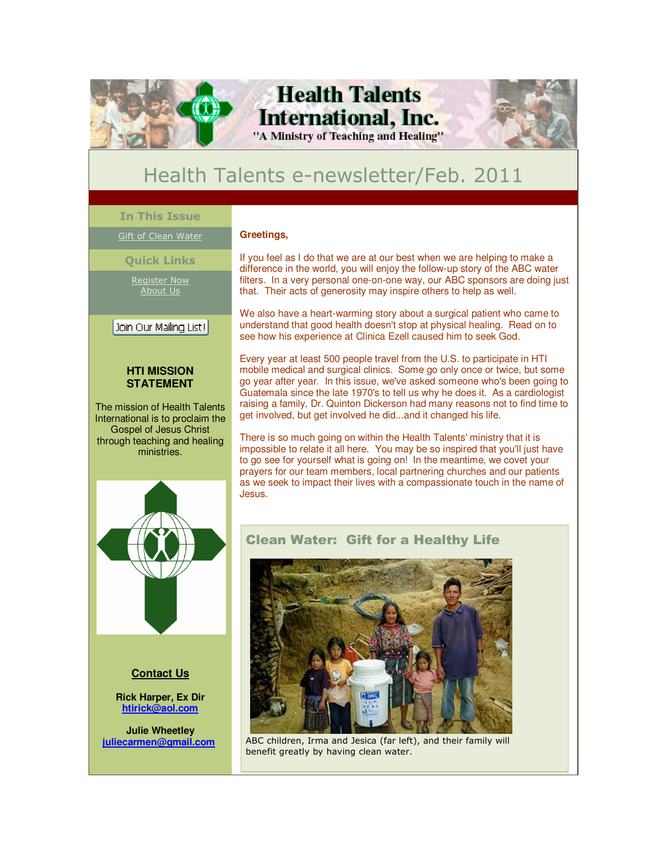

# **Health Talents International, Inc.**

"A Ministry of Teaching and Healing"



## Health Talents e-newsletter/Feb. 2011

### **In This Issue**

٦

Gift of Clean Water

**Quick Links**

Register Now About Us

## | Join Our Mailing List! | Ī

### **HTI MISSION STATEMENT**

The mission of Health Talents International is to proclaim the Gospel of Jesus Christ through teaching and healing ministries.



If you feel as I do that we are at our best when we are helping to make a difference in the world, you will enjoy the follow-up story of the ABC water filters. In a very personal one-on-one way, our ABC sponsors are doing just that. Their acts of generosity may inspire others to help as well.

We also have a heart-warming story about a surgical patient who came to understand that good health doesn't stop at physical healing. Read on to see how his experience at Clinica Ezell caused him to seek God.

Every year at least 500 people travel from the U.S. to participate in HTI mobile medical and surgical clinics. Some go only once or twice, but some go year after year. In this issue, we've asked someone who's been going to Guatemala since the late 1970's to tell us why he does it. As a cardiologist raising a family, Dr. Quinton Dickerson had many reasons not to find time to get involved, but get involved he did...and it changed his life.

There is so much going on within the Health Talents' ministry that it is impossible to relate it all here. You may be so inspired that you'll just have to go see for yourself what is going on! In the meantime, we covet your prayers for our team members, local partnering churches and our patients as we seek to impact their lives with a compassionate touch in the name of Jesus.



## **Contact Us**

**Rick Harper, Ex Dir htirick@aol.com**

**Julie Wheetley juliecarmen@gmail.com**

## Clean Water: Gift for a Healthy Life



ABC children, Irma and Jesica (far left), and their family will benefit greatly by having clean water.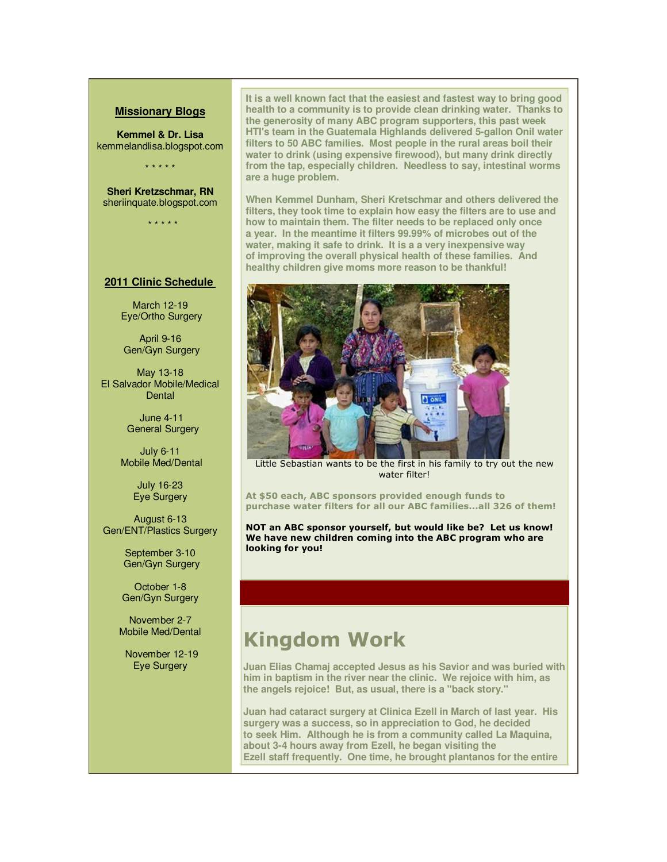#### **Missionary Blogs**

**Kemmel & Dr. Lisa** kemmelandlisa.blogspot.com

\* \* \* \* \*

**Sheri Kretzschmar, RN**  sheriinquate.blogspot.com

\* \* \* \* \*

#### **2011 Clinic Schedule**

March 12-19 Eye/Ortho Surgery

 April 9-16 Gen/Gyn Surgery

May 13-18 El Salvador Mobile/Medical **Dental** 

> June 4-11 General Surgery

July 6-11 Mobile Med/Dental

> July 16-23 Eye Surgery

August 6-13 Gen/ENT/Plastics Surgery

> September 3-10 Gen/Gyn Surgery

October 1-8 Gen/Gyn Surgery

November 2-7 Mobile Med/Dental

 November 12-19 Eye Surgery

**It is a well known fact that the easiest and fastest way to bring good health to a community is to provide clean drinking water. Thanks to the generosity of many ABC program supporters, this past week HTI's team in the Guatemala Highlands delivered 5-gallon Onil water filters to 50 ABC families. Most people in the rural areas boil their water to drink (using expensive firewood), but many drink directly from the tap, especially children. Needless to say, intestinal worms are a huge problem.**

**When Kemmel Dunham, Sheri Kretschmar and others delivered the filters, they took time to explain how easy the filters are to use and how to maintain them. The filter needs to be replaced only once a year. In the meantime it filters 99.99% of microbes out of the water, making it safe to drink. It is a a very inexpensive way of improving the overall physical health of these families. And healthy children give moms more reason to be thankful!** 



Little Sebastian wants to be the first in his family to try out the new water filter!

**At \$50 each, ABC sponsors provided enough funds to purchase water filters for all our ABC families...all 326 of them!** 

**NOT an ABC sponsor yourself, but would like be? Let us know! We have new children coming into the ABC program who are looking for you!**

## **Kingdom Work**

**Juan Elias Chamaj accepted Jesus as his Savior and was buried with him in baptism in the river near the clinic. We rejoice with him, as the angels rejoice! But, as usual, there is a "back story."**

**Juan had cataract surgery at Clinica Ezell in March of last year. His surgery was a success, so in appreciation to God, he decided to seek Him. Although he is from a community called La Maquina, about 3-4 hours away from Ezell, he began visiting the Ezell staff frequently. One time, he brought plantanos for the entire**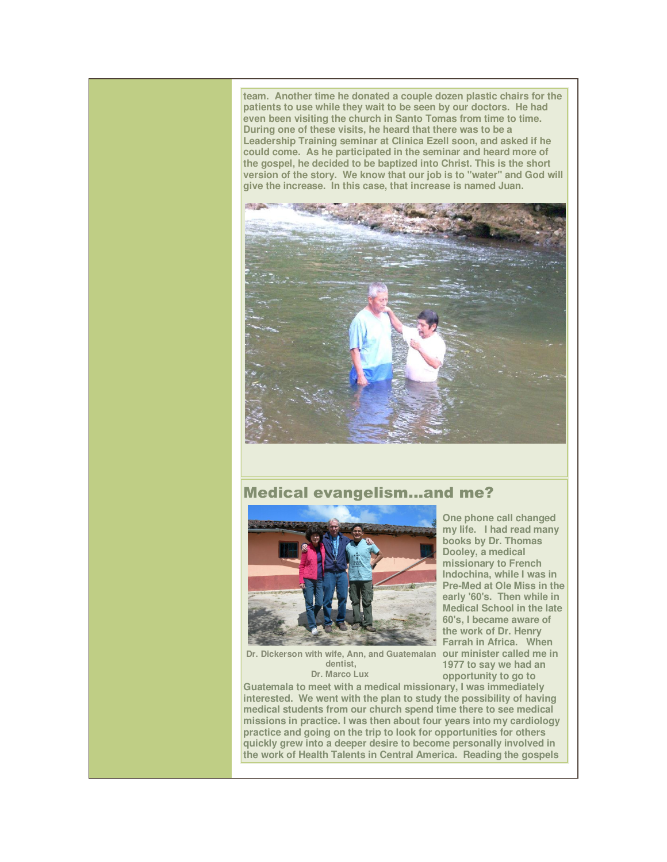**team. Another time he donated a couple dozen plastic chairs for the patients to use while they wait to be seen by our doctors. He had even been visiting the church in Santo Tomas from time to time. During one of these visits, he heard that there was to be a Leadership Training seminar at Clinica Ezell soon, and asked if he could come. As he participated in the seminar and heard more of the gospel, he decided to be baptized into Christ. This is the short version of the story. We know that our job is to "water" and God will give the increase. In this case, that increase is named Juan.**



## Medical evangelism...and me?



**One phone call changed my life. I had read many books by Dr. Thomas Dooley, a medical missionary to French Indochina, while I was in Pre-Med at Ole Miss in the early '60's. Then while in Medical School in the late 60's, I became aware of the work of Dr. Henry Farrah in Africa. When 1977 to say we had an opportunity to go to** 

Dr. Dickerson with wife, Ann, and Guatemalan our minister called me in **dentist, Dr. Marco Lux** 

**Guatemala to meet with a medical missionary, I was immediately** 

**interested. We went with the plan to study the possibility of having medical students from our church spend time there to see medical missions in practice. I was then about four years into my cardiology practice and going on the trip to look for opportunities for others quickly grew into a deeper desire to become personally involved in the work of Health Talents in Central America. Reading the gospels**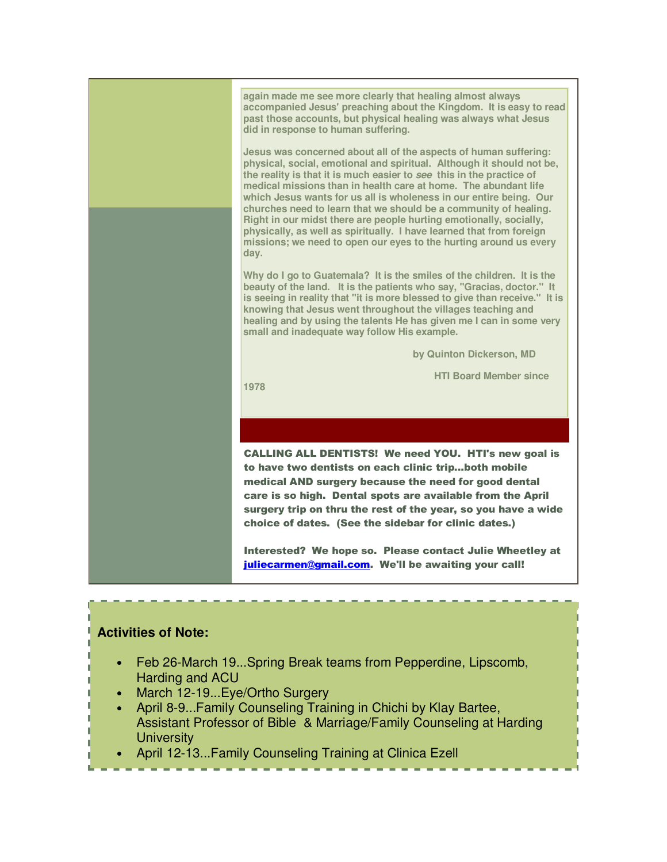

## **Activities of Note:**

- Feb 26-March 19...Spring Break teams from Pepperdine, Lipscomb, Harding and ACU
- March 12-19...Eye/Ortho Surgery
- April 8-9...Family Counseling Training in Chichi by Klay Bartee, Assistant Professor of Bible & Marriage/Family Counseling at Harding **University**
- April 12-13...Family Counseling Training at Clinica Ezell